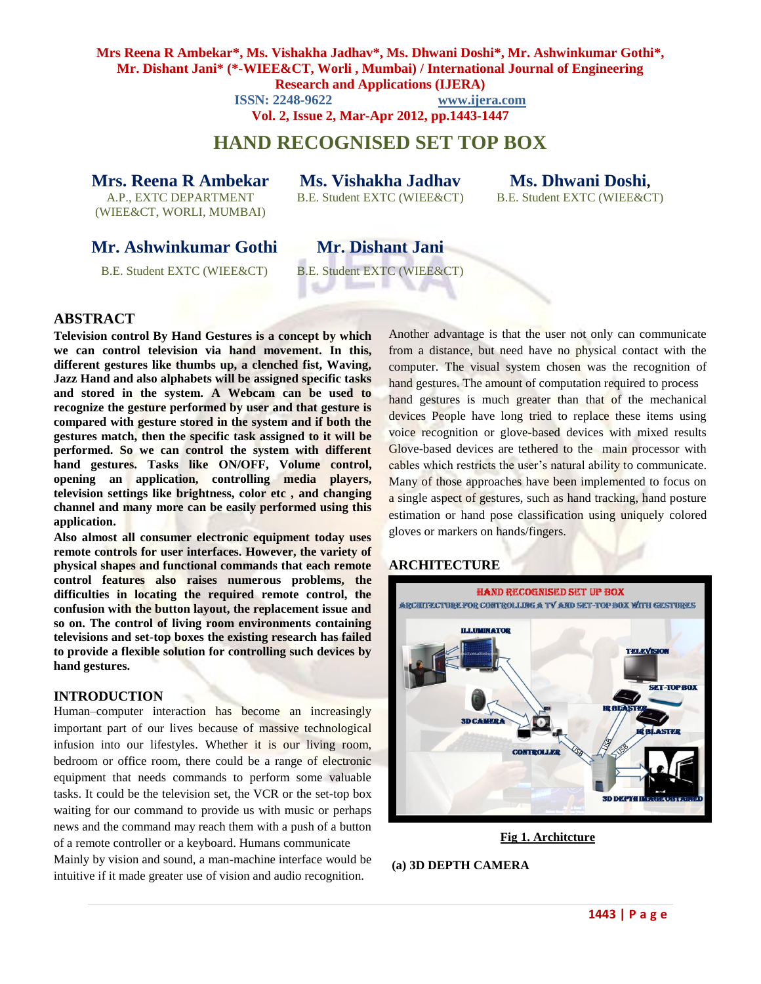**Research and Applications (IJERA)**

**ISSN: 2248-9622 www.ijera.com**

**Vol. 2, Issue 2, Mar-Apr 2012, pp.1443-1447**

# **HAND RECOGNISED SET TOP BOX**

**Mrs. Reena R Ambekar**

A.P., EXTC DEPARTMENT (WIEE&CT, WORLI, MUMBAI)

**Ms. Vishakha Jadhav** B.E. Student EXTC (WIEE&CT)

**Ms. Dhwani Doshi,** B.E. Student EXTC (WIEE&CT)

# **Mr. Ashwinkumar Gothi**

B.E. Student EXTC (WIEE&CT)

# **Mr. Dishant Jani**

B.E. Student EXTC (WIEE&CT)

## **ABSTRACT**

**Television control By Hand Gestures is a concept by which we can control television via hand movement. In this, different gestures like thumbs up, a clenched fist, Waving, Jazz Hand and also alphabets will be assigned specific tasks and stored in the system. A Webcam can be used to recognize the gesture performed by user and that gesture is compared with gesture stored in the system and if both the gestures match, then the specific task assigned to it will be performed. So we can control the system with different hand gestures. Tasks like ON/OFF, Volume control, opening an application, controlling media players, television settings like brightness, color etc , and changing channel and many more can be easily performed using this application.** 

**Also almost all consumer electronic equipment today uses remote controls for user interfaces. However, the variety of physical shapes and functional commands that each remote control features also raises numerous problems, the difficulties in locating the required remote control, the confusion with the button layout, the replacement issue and so on. The control of living room environments containing televisions and set-top boxes the existing research has failed to provide a flexible solution for controlling such devices by hand gestures.** 

### **INTRODUCTION**

Human–computer interaction has become an increasingly important part of our lives because of massive technological infusion into our lifestyles. Whether it is our living room, bedroom or office room, there could be a range of electronic equipment that needs commands to perform some valuable tasks. It could be the television set, the VCR or the set-top box waiting for our command to provide us with music or perhaps news and the command may reach them with a push of a button of a remote controller or a keyboard. Humans communicate Mainly by vision and sound, a man-machine interface would be intuitive if it made greater use of vision and audio recognition.

Another advantage is that the user not only can communicate from a distance, but need have no physical contact with the computer. The visual system chosen was the recognition of hand gestures. The amount of computation required to process hand gestures is much greater than that of the mechanical devices People have long tried to replace these items using voice recognition or glove-based devices with mixed results Glove-based devices are tethered to the main processor with cables which restricts the user's natural ability to communicate. Many of those approaches have been implemented to focus on a single aspect of gestures, such as hand tracking, hand posture estimation or hand pose classification using uniquely colored gloves or markers on hands/fingers.

### **ARCHITECTURE**



**Fig 1. Architcture**

### **(a) 3D DEPTH CAMERA**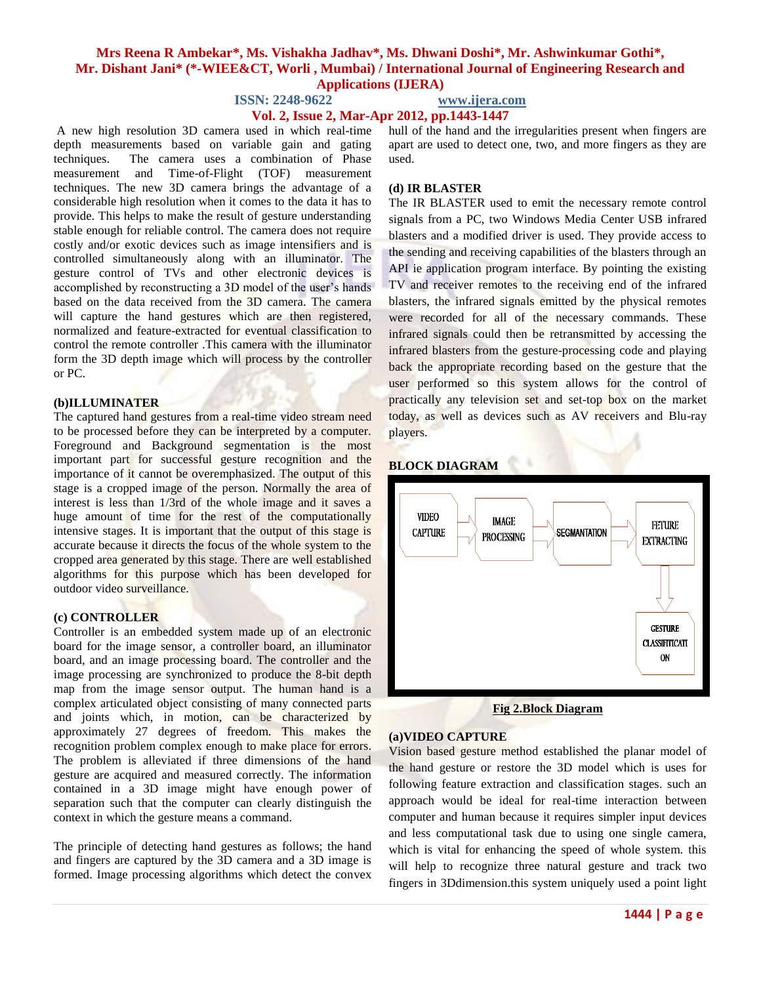## **ISSN: 2248-9622 www.ijera.com**

**Vol. 2, Issue 2, Mar-Apr 2012, pp.1443-1447**

A new high resolution 3D camera used in which real-time depth measurements based on variable gain and gating techniques. The camera uses a combination of Phase measurement and Time-of-Flight (TOF) measurement techniques. The new 3D camera brings the advantage of a considerable high resolution when it comes to the data it has to provide. This helps to make the result of gesture understanding stable enough for reliable control. The camera does not require costly and/or exotic devices such as image intensifiers and is controlled simultaneously along with an illuminator. The gesture control of TVs and other electronic devices is accomplished by reconstructing a 3D model of the user"s hands based on the data received from the 3D camera. The camera will capture the hand gestures which are then registered, normalized and feature-extracted for eventual classification to control the remote controller .This camera with the illuminator form the 3D depth image which will process by the controller or PC.

### **(b)ILLUMINATER**

The captured hand gestures from a real-time video stream need to be processed before they can be interpreted by a computer. Foreground and Background segmentation is the most important part for successful gesture recognition and the importance of it cannot be overemphasized. The output of this stage is a cropped image of the person. Normally the area of interest is less than 1/3rd of the whole image and it saves a huge amount of time for the rest of the computationally intensive stages. It is important that the output of this stage is accurate because it directs the focus of the whole system to the cropped area generated by this stage. There are well established algorithms for this purpose which has been developed for outdoor video surveillance.

### **(c) CONTROLLER**

Controller is an embedded system made up of an electronic board for the image sensor, a controller board, an illuminator board, and an image processing board. The controller and the image processing are synchronized to produce the 8-bit depth map from the image sensor output. The human hand is a complex articulated object consisting of many connected parts and joints which, in motion, can be characterized by approximately 27 degrees of freedom. This makes the recognition problem complex enough to make place for errors. The problem is alleviated if three dimensions of the hand gesture are acquired and measured correctly. The information contained in a 3D image might have enough power of separation such that the computer can clearly distinguish the context in which the gesture means a command.

The principle of detecting hand gestures as follows; the hand and fingers are captured by the 3D camera and a 3D image is formed. Image processing algorithms which detect the convex hull of the hand and the irregularities present when fingers are apart are used to detect one, two, and more fingers as they are used.

### **(d) IR BLASTER**

The IR BLASTER used to emit the necessary remote control signals from a PC, two Windows Media Center USB infrared blasters and a modified driver is used. They provide access to the sending and receiving capabilities of the blasters through an API ie application program interface. By pointing the existing TV and receiver remotes to the receiving end of the infrared blasters, the infrared signals emitted by the physical remotes were recorded for all of the necessary commands. These infrared signals could then be retransmitted by accessing the infrared blasters from the gesture-processing code and playing back the appropriate recording based on the gesture that the user performed so this system allows for the control of practically any television set and set-top box on the market today, as well as devices such as AV receivers and Blu-ray players.

# **BLOCK DIAGRAM**



### **Fig 2.Block Diagram**

### **(a)VIDEO CAPTURE**

Vision based gesture method established the planar model of the hand gesture or restore the 3D model which is uses for following feature extraction and classification stages. such an approach would be ideal for real-time interaction between computer and human because it requires simpler input devices and less computational task due to using one single camera, which is vital for enhancing the speed of whole system. this will help to recognize three natural gesture and track two fingers in 3Ddimension.this system uniquely used a point light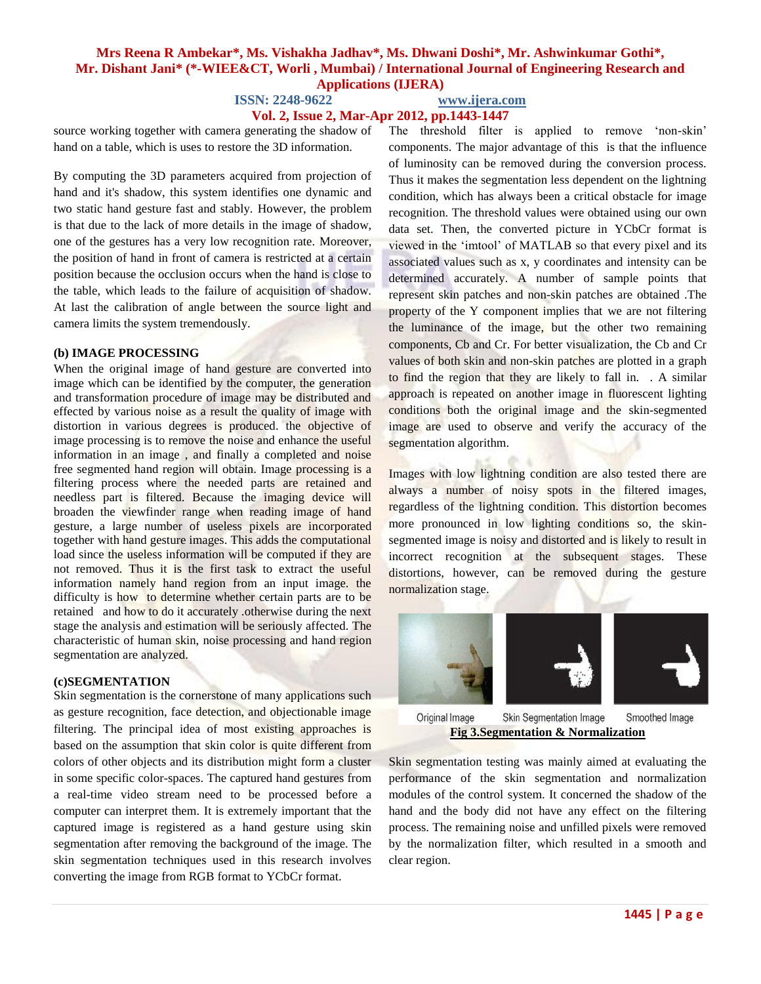**ISSN: 2248-9622 www.ijera.com**

# **Vol. 2, Issue 2, Mar-Apr 2012, pp.1443-1447**

source working together with camera generating the shadow of hand on a table, which is uses to restore the 3D information.

By computing the 3D parameters acquired from projection of hand and it's shadow, this system identifies one dynamic and two static hand gesture fast and stably. However, the problem is that due to the lack of more details in the image of shadow, one of the gestures has a very low recognition rate. Moreover, the position of hand in front of camera is restricted at a certain position because the occlusion occurs when the hand is close to the table, which leads to the failure of acquisition of shadow. At last the calibration of angle between the source light and camera limits the system tremendously.

# **(b) IMAGE PROCESSING**

When the original image of hand gesture are converted into image which can be identified by the computer, the generation and transformation procedure of image may be distributed and effected by various noise as a result the quality of image with distortion in various degrees is produced. the objective of image processing is to remove the noise and enhance the useful information in an image , and finally a completed and noise free segmented hand region will obtain. Image processing is a filtering process where the needed parts are retained and needless part is filtered. Because the imaging device will broaden the viewfinder range when reading image of hand gesture, a large number of useless pixels are incorporated together with hand gesture images. This adds the computational load since the useless information will be computed if they are not removed. Thus it is the first task to extract the useful information namely hand region from an input image. the difficulty is how to determine whether certain parts are to be retained and how to do it accurately .otherwise during the next stage the analysis and estimation will be seriously affected. The characteristic of human skin, noise processing and hand region segmentation are analyzed.

### **(c)SEGMENTATION**

Skin segmentation is the cornerstone of many applications such as gesture recognition, face detection, and objectionable image filtering. The principal idea of most existing approaches is based on the assumption that skin color is quite different from colors of other objects and its distribution might form a cluster in some specific color-spaces. The captured hand gestures from a real-time video stream need to be processed before a computer can interpret them. It is extremely important that the captured image is registered as a hand gesture using skin segmentation after removing the background of the image. The skin segmentation techniques used in this research involves converting the image from RGB format to YCbCr format.

The threshold filter is applied to remove 'non-skin' components. The major advantage of this is that the influence of luminosity can be removed during the conversion process. Thus it makes the segmentation less dependent on the lightning condition, which has always been a critical obstacle for image recognition. The threshold values were obtained using our own data set. Then, the converted picture in YCbCr format is viewed in the "imtool" of MATLAB so that every pixel and its associated values such as x, y coordinates and intensity can be determined accurately. A number of sample points that represent skin patches and non-skin patches are obtained .The property of the Y component implies that we are not filtering the luminance of the image, but the other two remaining components, Cb and Cr. For better visualization, the Cb and Cr values of both skin and non-skin patches are plotted in a graph to find the region that they are likely to fall in. . A similar approach is repeated on another image in fluorescent lighting conditions both the original image and the skin-segmented image are used to observe and verify the accuracy of the segmentation algorithm.

Images with low lightning condition are also tested there are always a number of noisy spots in the filtered images, regardless of the lightning condition. This distortion becomes more pronounced in low lighting conditions so, the skinsegmented image is noisy and distorted and is likely to result in incorrect recognition at the subsequent stages. These distortions, however, can be removed during the gesture normalization stage.



Original Image Skin Segmentation Image Smoothed Image **Fig 3.Segmentation & Normalization**

Skin segmentation testing was mainly aimed at evaluating the performance of the skin segmentation and normalization modules of the control system. It concerned the shadow of the hand and the body did not have any effect on the filtering process. The remaining noise and unfilled pixels were removed by the normalization filter, which resulted in a smooth and clear region.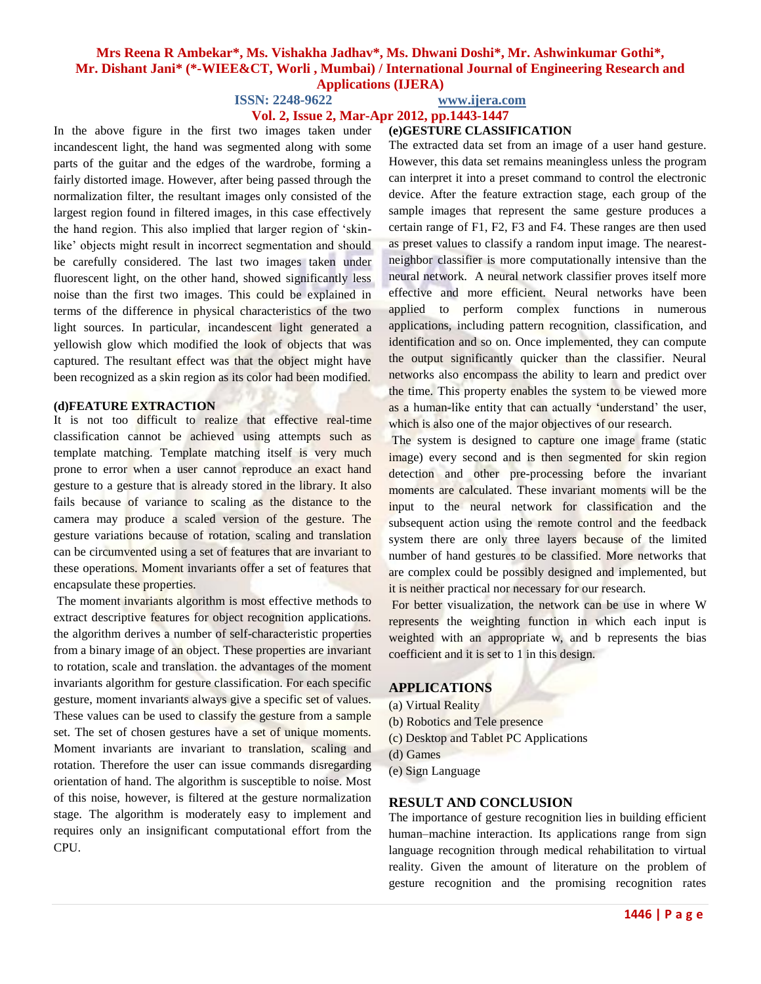**ISSN: 2248-9622 www.ijera.com**

**Vol. 2, Issue 2, Mar-Apr 2012, pp.1443-1447**

In the above figure in the first two images taken under incandescent light, the hand was segmented along with some parts of the guitar and the edges of the wardrobe, forming a fairly distorted image. However, after being passed through the normalization filter, the resultant images only consisted of the largest region found in filtered images, in this case effectively the hand region. This also implied that larger region of "skinlike" objects might result in incorrect segmentation and should be carefully considered. The last two images taken under fluorescent light, on the other hand, showed significantly less noise than the first two images. This could be explained in terms of the difference in physical characteristics of the two light sources. In particular, incandescent light generated a yellowish glow which modified the look of objects that was captured. The resultant effect was that the object might have been recognized as a skin region as its color had been modified.

### **(d)FEATURE EXTRACTION**

It is not too difficult to realize that effective real-time classification cannot be achieved using attempts such as template matching. Template matching itself is very much prone to error when a user cannot reproduce an exact hand gesture to a gesture that is already stored in the library. It also fails because of variance to scaling as the distance to the camera may produce a scaled version of the gesture. The gesture variations because of rotation, scaling and translation can be circumvented using a set of features that are invariant to these operations. Moment invariants offer a set of features that encapsulate these properties.

The moment invariants algorithm is most effective methods to extract descriptive features for object recognition applications. the algorithm derives a number of self-characteristic properties from a binary image of an object. These properties are invariant to rotation, scale and translation. the advantages of the moment invariants algorithm for gesture classification. For each specific gesture, moment invariants always give a specific set of values. These values can be used to classify the gesture from a sample set. The set of chosen gestures have a set of unique moments. Moment invariants are invariant to translation, scaling and rotation. Therefore the user can issue commands disregarding orientation of hand. The algorithm is susceptible to noise. Most of this noise, however, is filtered at the gesture normalization stage. The algorithm is moderately easy to implement and requires only an insignificant computational effort from the CPU.

### **(e)GESTURE CLASSIFICATION**

The extracted data set from an image of a user hand gesture. However, this data set remains meaningless unless the program can interpret it into a preset command to control the electronic device. After the feature extraction stage, each group of the sample images that represent the same gesture produces a certain range of F1, F2, F3 and F4. These ranges are then used as preset values to classify a random input image. The nearestneighbor classifier is more computationally intensive than the neural network. A neural network classifier proves itself more effective and more efficient. Neural networks have been applied to perform complex functions in numerous applications, including pattern recognition, classification, and identification and so on. Once implemented, they can compute the output significantly quicker than the classifier. Neural networks also encompass the ability to learn and predict over the time. This property enables the system to be viewed more as a human-like entity that can actually 'understand' the user, which is also one of the major objectives of our research.

The system is designed to capture one image frame (static image) every second and is then segmented for skin region detection and other pre-processing before the invariant moments are calculated. These invariant moments will be the input to the neural network for classification and the subsequent action using the remote control and the feedback system there are only three layers because of the limited number of hand gestures to be classified. More networks that are complex could be possibly designed and implemented, but it is neither practical nor necessary for our research.

For better visualization, the network can be use in where W represents the weighting function in which each input is weighted with an appropriate w, and b represents the bias coefficient and it is set to 1 in this design.

### **APPLICATIONS**

- (a) Virtual Reality
- (b) Robotics and Tele presence
- (c) Desktop and Tablet PC Applications
- (d) Games
- (e) Sign Language

### **RESULT AND CONCLUSION**

The importance of gesture recognition lies in building efficient human–machine interaction. Its applications range from sign language recognition through medical rehabilitation to virtual reality. Given the amount of literature on the problem of gesture recognition and the promising recognition rates